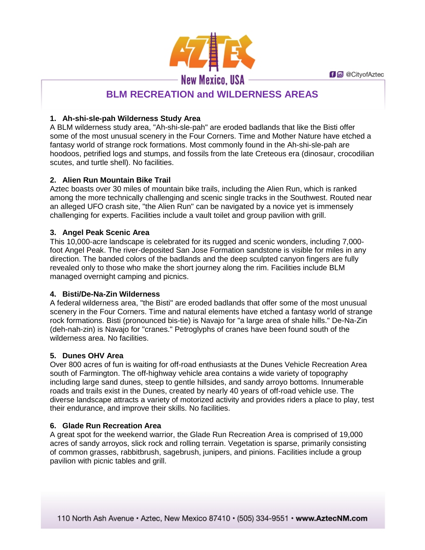**f d** @ CityofAztec



# **BLM RECREATION and WILDERNESS AREAS**

# **1. Ah-shi-sle-pah Wilderness Study Area**

A BLM wilderness study area, "Ah-shi-sle-pah" are eroded badlands that like the Bisti offer some of the most unusual scenery in the Four Corners. Time and Mother Nature have etched a fantasy world of strange rock formations. Most commonly found in the Ah-shi-sle-pah are hoodoos, petrified logs and stumps, and fossils from the late Creteous era (dinosaur, crocodilian scutes, and turtle shell). No facilities.

# **2. Alien Run Mountain Bike Trail**

Aztec boasts over 30 miles of mountain bike trails, including the Alien Run, which is ranked among the more technically challenging and scenic single tracks in the Southwest. Routed near an alleged UFO crash site, "the Alien Run" can be navigated by a novice yet is immensely challenging for experts. Facilities include a vault toilet and group pavilion with grill.

## **3. Angel Peak Scenic Area**

This 10,000-acre landscape is celebrated for its rugged and scenic wonders, including 7,000 foot Angel Peak. The river-deposited San Jose Formation sandstone is visible for miles in any direction. The banded colors of the badlands and the deep sculpted canyon fingers are fully revealed only to those who make the short journey along the rim. Facilities include BLM managed overnight camping and picnics.

# **4. Bisti/De-Na-Zin Wilderness**

A federal wilderness area, "the Bisti" are eroded badlands that offer some of the most unusual scenery in the Four Corners. Time and natural elements have etched a fantasy world of strange rock formations. Bisti (pronounced bis-tie) is Navajo for "a large area of shale hills." De-Na-Zin (deh-nah-zin) is Navajo for "cranes." Petroglyphs of cranes have been found south of the wilderness area. No facilities.

# **5. Dunes OHV Area**

Over 800 acres of fun is waiting for off-road enthusiasts at the Dunes Vehicle Recreation Area south of Farmington. The off-highway vehicle area contains a wide variety of topography including large sand dunes, steep to gentle hillsides, and sandy arroyo bottoms. Innumerable roads and trails exist in the Dunes, created by nearly 40 years of off-road vehicle use. The diverse landscape attracts a variety of motorized activity and provides riders a place to play, test their endurance, and improve their skills. No facilities.

## **6. Glade Run Recreation Area**

A great spot for the weekend warrior, the Glade Run Recreation Area is comprised of 19,000 acres of sandy arroyos, slick rock and rolling terrain. Vegetation is sparse, primarily consisting of common grasses, rabbitbrush, sagebrush, junipers, and pinions. Facilities include a group pavilion with picnic tables and grill.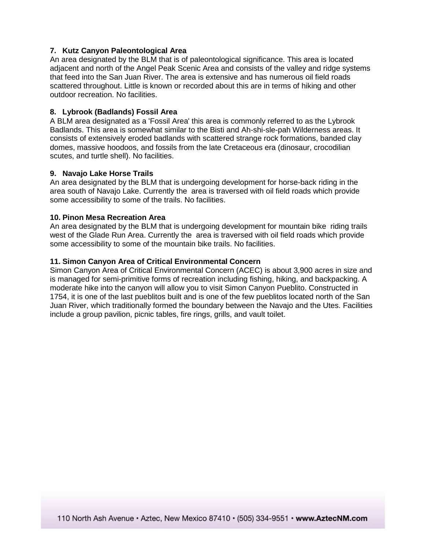## **7. Kutz Canyon Paleontological Area**

An area designated by the BLM that is of paleontological significance. This area is located adjacent and north of the Angel Peak Scenic Area and consists of the valley and ridge systems that feed into the San Juan River. The area is extensive and has numerous oil field roads scattered throughout. Little is known or recorded about this are in terms of hiking and other outdoor recreation. No facilities.

### **8. Lybrook (Badlands) Fossil Area**

A BLM area designated as a 'Fossil Area' this area is commonly referred to as the Lybrook Badlands. This area is somewhat similar to the Bisti and Ah-shi-sle-pah Wilderness areas. It consists of extensively eroded badlands with scattered strange rock formations, banded clay domes, massive hoodoos, and fossils from the late Cretaceous era (dinosaur, crocodilian scutes, and turtle shell). No facilities.

#### **9. Navajo Lake Horse Trails**

An area designated by the BLM that is undergoing development for horse-back riding in the area south of Navajo Lake. Currently the area is traversed with oil field roads which provide some accessibility to some of the trails. No facilities.

### **10. Pinon Mesa Recreation Area**

An area designated by the BLM that is undergoing development for mountain bike riding trails west of the Glade Run Area. Currently the area is traversed with oil field roads which provide some accessibility to some of the mountain bike trails. No facilities.

### **11. Simon Canyon Area of Critical Environmental Concern**

Simon Canyon Area of Critical Environmental Concern (ACEC) is about 3,900 acres in size and is managed for semi-primitive forms of recreation including fishing, hiking, and backpacking. A moderate hike into the canyon will allow you to visit Simon Canyon Pueblito. Constructed in 1754, it is one of the last pueblitos built and is one of the few pueblitos located north of the San Juan River, which traditionally formed the boundary between the Navajo and the Utes. Facilities include a group pavilion, picnic tables, fire rings, grills, and vault toilet.